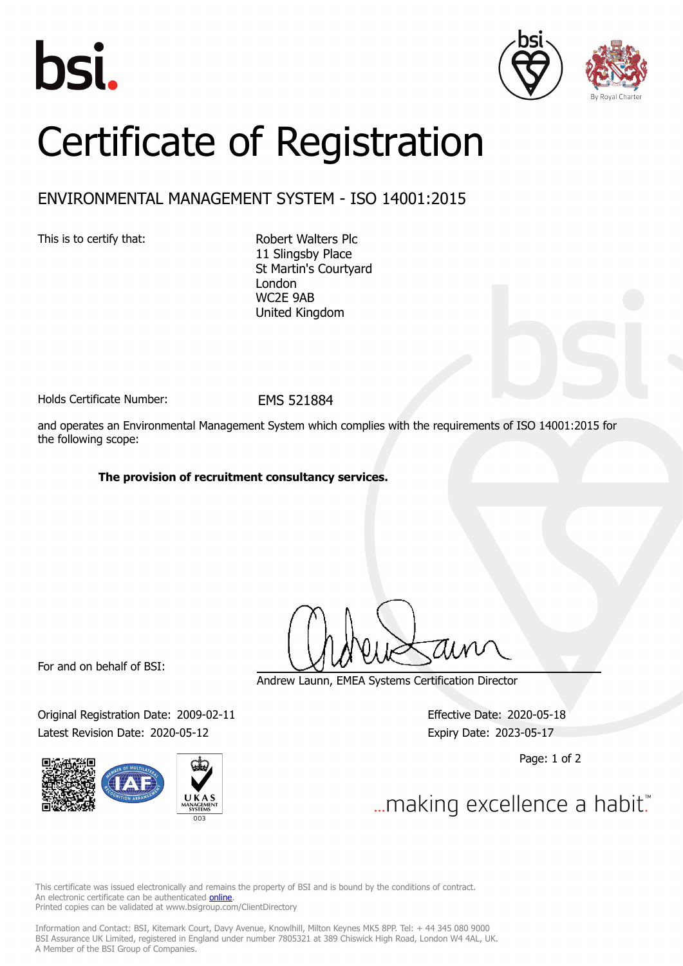





## Certificate of Registration

## ENVIRONMENTAL MANAGEMENT SYSTEM - ISO 14001:2015

This is to certify that: Robert Walters Plc

11 Slingsby Place St Martin's Courtyard London WC2E 9AB United Kingdom

Holds Certificate Number: FMS 521884

and operates an Environmental Management System which complies with the requirements of ISO 14001:2015 for the following scope:

## **The provision of recruitment consultancy services.**

For and on behalf of BSI:

Original Registration Date: 2009-02-11 Effective Date: 2020-05-18 Latest Revision Date: 2020-05-12 Expiry Date: 2023-05-17



Andrew Launn, EMEA Systems Certification Director

Page: 1 of 2

... making excellence a habit."

This certificate was issued electronically and remains the property of BSI and is bound by the conditions of contract. An electronic certificate can be authenticated **[online](https://pgplus.bsigroup.com/CertificateValidation/CertificateValidator.aspx?CertificateNumber=EMS+521884&ReIssueDate=12%2f05%2f2020&Template=uk)**. Printed copies can be validated at www.bsigroup.com/ClientDirectory

Information and Contact: BSI, Kitemark Court, Davy Avenue, Knowlhill, Milton Keynes MK5 8PP. Tel: + 44 345 080 9000 BSI Assurance UK Limited, registered in England under number 7805321 at 389 Chiswick High Road, London W4 4AL, UK. A Member of the BSI Group of Companies.